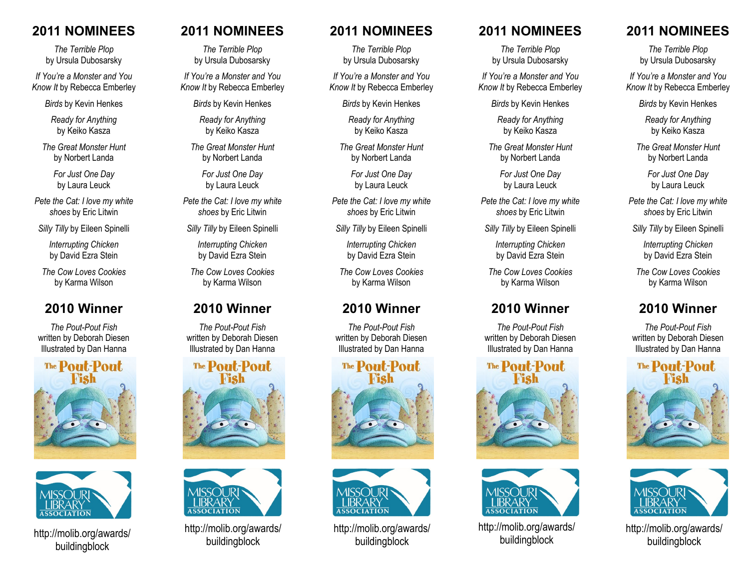### **2011 NOMINEES**

*The Terrible Plop* by Ursula Dubosarsky

*If You're a Monster and You Know It* by Rebecca Emberley

*Birds* by Kevin Henkes

*Ready for Anything* by Keiko Kasza

*The Great Monster Hunt* by Norbert Landa

> *For Just One Day* by Laura Leuck

*Pete the Cat: I love my white shoes* by Eric Litwin

*Silly Tilly* by Eileen Spinelli

*Interrupting Chicken* by David Ezra Stein

*The Cow Loves Cookies* by Karma Wilson

### **2010 Winner**

*The Pout-Pout Fish* written by Deborah Diesen Illustrated by Dan Hanna





http://molib.org/awards/ buildingblock

## **2011 NOMINEES**

*The Terrible Plop* by Ursula Dubosarsky

*If You're a Monster and You Know It* by Rebecca Emberley

*Birds* by Kevin Henkes

*Ready for Anything* by Keiko Kasza

*The Great Monster Hunt* by Norbert Landa

> *For Just One Day* by Laura Leuck

*Pete the Cat: I love my white shoes* by Eric Litwin

*Silly Tilly* by Eileen Spinelli

*Interrupting Chicken* by David Ezra Stein

*The Cow Loves Cookies* by Karma Wilson

### **2010 Winner**

*The Pout-Pout Fish* written by Deborah Diesen Illustrated by Dan Hanna





http://molib.org/awards/ buildingblock

#### **2011 NOMINEES**

*The Terrible Plop* by Ursula Dubosarsky

*If You're a Monster and You Know It* by Rebecca Emberley

*Birds* by Kevin Henkes

*Ready for Anything* by Keiko Kasza

*The Great Monster Hunt* by Norbert Landa

> *For Just One Day* by Laura Leuck

*Pete the Cat: I love my white shoes* by Eric Litwin

*Silly Tilly* by Eileen Spinelli

*Interrupting Chicken* by David Ezra Stein

*The Cow Loves Cookies* by Karma Wilson

## **2010 Winner**

*The Pout-Pout Fish* written by Deborah Diesen Illustrated by Dan Hanna





http://molib.org/awards/ buildingblock

### **2011 NOMINEES**

*The Terrible Plop* by Ursula Dubosarsky

*If You're a Monster and You Know It* by Rebecca Emberley

*Birds* by Kevin Henkes

*Ready for Anything* by Keiko Kasza

*The Great Monster Hunt* by Norbert Landa

> *For Just One Day* by Laura Leuck

*Pete the Cat: I love my white shoes* by Eric Litwin

*Silly Tilly* by Eileen Spinelli

*Interrupting Chicken* by David Ezra Stein

*The Cow Loves Cookies* by Karma Wilson

## **2010 Winner**

*The Pout-Pout Fish* written by Deborah Diesen Illustrated by Dan Hanna





http://molib.org/awards/ buildingblock

## **2011 NOMINEES**

*The Terrible Plop* by Ursula Dubosarsky

*If You're a Monster and You Know It* by Rebecca Emberley

*Birds* by Kevin Henkes

*Ready for Anything* by Keiko Kasza

*The Great Monster Hunt* by Norbert Landa

> *For Just One Day* by Laura Leuck

*Pete the Cat: I love my white shoes* by Eric Litwin

*Silly Tilly* by Eileen Spinelli

*Interrupting Chicken* by David Ezra Stein

*The Cow Loves Cookies* by Karma Wilson

# **2010 Winner**

*The Pout-Pout Fish* written by Deborah Diesen Illustrated by Dan Hanna





http://molib.org/awards/ buildingblock